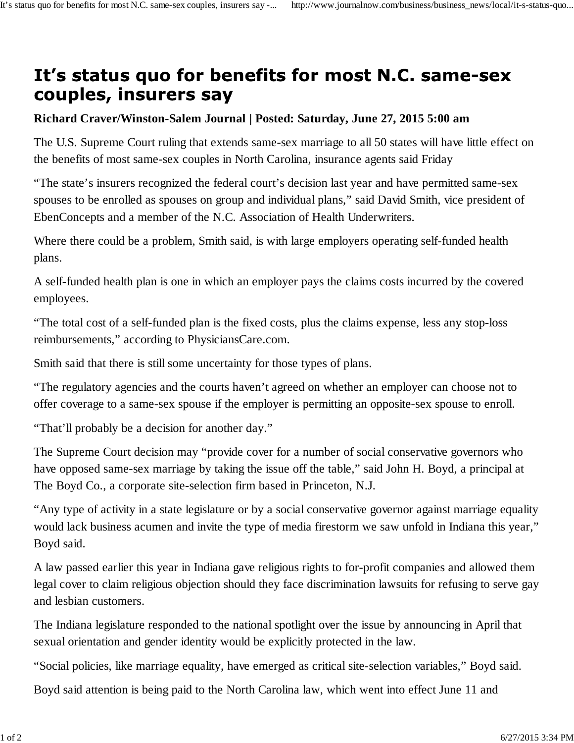## It's status quo for benefits for most N.C. same-sex couples, insurers say

## **Richard Craver/Winston-Salem Journal | Posted: Saturday, June 27, 2015 5:00 am**

The U.S. Supreme Court ruling that extends same-sex marriage to all 50 states will have little effect on the benefits of most same-sex couples in North Carolina, insurance agents said Friday

"The state's insurers recognized the federal court's decision last year and have permitted same-sex spouses to be enrolled as spouses on group and individual plans," said David Smith, vice president of EbenConcepts and a member of the N.C. Association of Health Underwriters.

Where there could be a problem, Smith said, is with large employers operating self-funded health plans.

A self-funded health plan is one in which an employer pays the claims costs incurred by the covered employees.

"The total cost of a self-funded plan is the fixed costs, plus the claims expense, less any stop-loss reimbursements," according to PhysiciansCare.com.

Smith said that there is still some uncertainty for those types of plans.

"The regulatory agencies and the courts haven't agreed on whether an employer can choose not to offer coverage to a same-sex spouse if the employer is permitting an opposite-sex spouse to enroll.

"That'll probably be a decision for another day."

The Supreme Court decision may "provide cover for a number of social conservative governors who have opposed same-sex marriage by taking the issue off the table," said John H. Boyd, a principal at The Boyd Co., a corporate site-selection firm based in Princeton, N.J.

"Any type of activity in a state legislature or by a social conservative governor against marriage equality would lack business acumen and invite the type of media firestorm we saw unfold in Indiana this year," Boyd said.

A law passed earlier this year in Indiana gave religious rights to for-profit companies and allowed them legal cover to claim religious objection should they face discrimination lawsuits for refusing to serve gay and lesbian customers.

The Indiana legislature responded to the national spotlight over the issue by announcing in April that sexual orientation and gender identity would be explicitly protected in the law.

"Social policies, like marriage equality, have emerged as critical site-selection variables," Boyd said.

Boyd said attention is being paid to the North Carolina law, which went into effect June 11 and